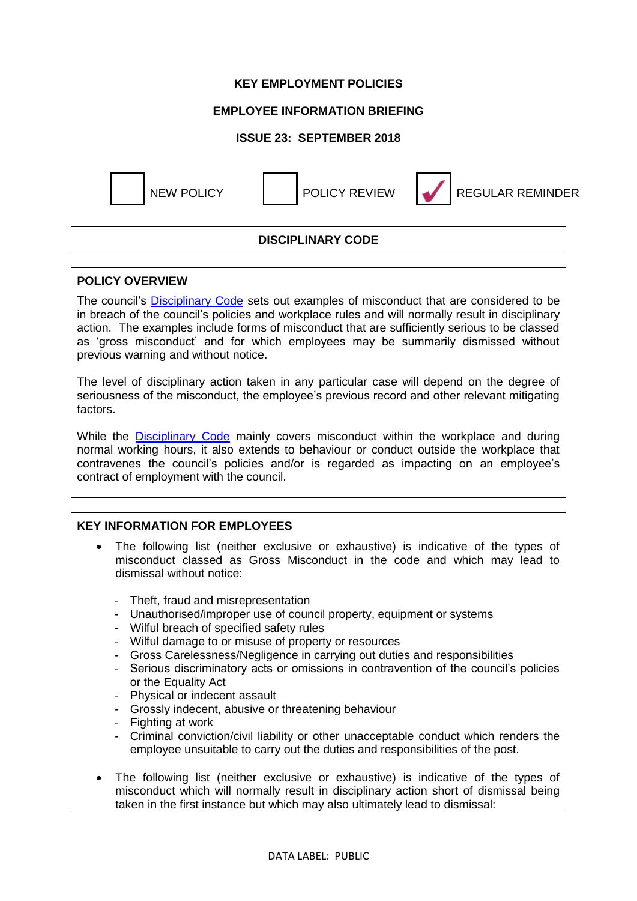### **KEY EMPLOYMENT POLICIES**

## **EMPLOYEE INFORMATION BRIEFING**

### **ISSUE 23: SEPTEMBER 2018**



NEW POLICY POLICY REVIEW REGULAR REMINDER

## **DISCIPLINARY CODE**

#### **POLICY OVERVIEW**

The council's [Disciplinary Code](https://www.westlothian.gov.uk/media/1554/Disciplinary-Code/pdf/DisciplinaryCode-18May2016.pdf) sets out examples of misconduct that are considered to be in breach of the council's policies and workplace rules and will normally result in disciplinary action. The examples include forms of misconduct that are sufficiently serious to be classed as 'gross misconduct' and for which employees may be summarily dismissed without previous warning and without notice.

The level of disciplinary action taken in any particular case will depend on the degree of seriousness of the misconduct, the employee's previous record and other relevant mitigating factors.

While the **[Disciplinary Code](https://www.westlothian.gov.uk/media/1554/Disciplinary-Code/pdf/DisciplinaryCode-18May2016.pdf)** mainly covers misconduct within the workplace and during normal working hours, it also extends to behaviour or conduct outside the workplace that contravenes the council's policies and/or is regarded as impacting on an employee's contract of employment with the council.

#### **KEY INFORMATION FOR EMPLOYEES**

- The following list (neither exclusive or exhaustive) is indicative of the types of misconduct classed as Gross Misconduct in the code and which may lead to dismissal without notice:
	- Theft, fraud and misrepresentation
	- Unauthorised/improper use of council property, equipment or systems
	- Wilful breach of specified safety rules
	- Wilful damage to or misuse of property or resources
	- Gross Carelessness/Negligence in carrying out duties and responsibilities
	- Serious discriminatory acts or omissions in contravention of the council's policies or the Equality Act
	- Physical or indecent assault
	- Grossly indecent, abusive or threatening behaviour
	- Fighting at work
	- Criminal conviction/civil liability or other unacceptable conduct which renders the employee unsuitable to carry out the duties and responsibilities of the post.
- The following list (neither exclusive or exhaustive) is indicative of the types of misconduct which will normally result in disciplinary action short of dismissal being taken in the first instance but which may also ultimately lead to dismissal: